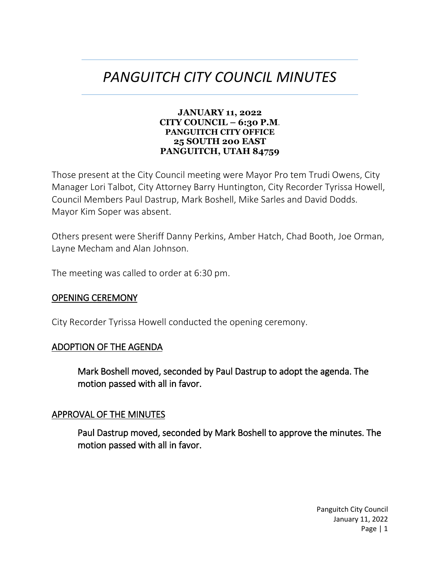# *PANGUITCH CITY COUNCIL MINUTES*

#### **JANUARY 11, 2022 CITY COUNCIL – 6:30 P.M**. **PANGUITCH CITY OFFICE 25 SOUTH 200 EAST PANGUITCH, UTAH 84759**

Those present at the City Council meeting were Mayor Pro tem Trudi Owens, City Manager Lori Talbot, City Attorney Barry Huntington, City Recorder Tyrissa Howell, Council Members Paul Dastrup, Mark Boshell, Mike Sarles and David Dodds. Mayor Kim Soper was absent.

Others present were Sheriff Danny Perkins, Amber Hatch, Chad Booth, Joe Orman, Layne Mecham and Alan Johnson.

The meeting was called to order at 6:30 pm.

### OPENING CEREMONY

City Recorder Tyrissa Howell conducted the opening ceremony.

### ADOPTION OF THE AGENDA

Mark Boshell moved, seconded by Paul Dastrup to adopt the agenda. The motion passed with all in favor.

#### APPROVAL OF THE MINUTES

Paul Dastrup moved, seconded by Mark Boshell to approve the minutes. The motion passed with all in favor.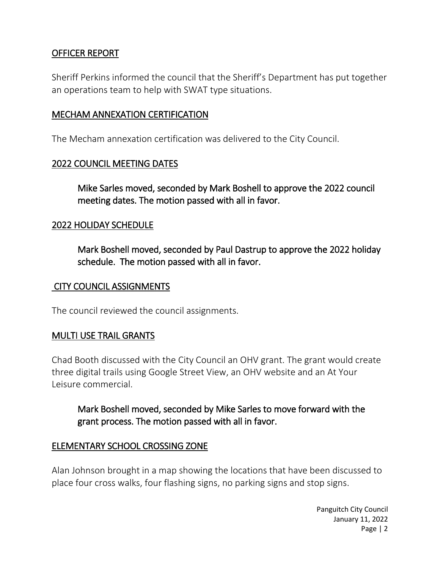# OFFICER REPORT

Sheriff Perkins informed the council that the Sheriff's Department has put together an operations team to help with SWAT type situations.

# MECHAM ANNEXATION CERTIFICATION

The Mecham annexation certification was delivered to the City Council.

# 2022 COUNCIL MEETING DATES

Mike Sarles moved, seconded by Mark Boshell to approve the 2022 council meeting dates. The motion passed with all in favor.

# 2022 HOLIDAY SCHEDULE

Mark Boshell moved, seconded by Paul Dastrup to approve the 2022 holiday schedule. The motion passed with all in favor.

### CITY COUNCIL ASSIGNMENTS

The council reviewed the council assignments.

# MULTI USE TRAIL GRANTS

Chad Booth discussed with the City Council an OHV grant. The grant would create three digital trails using Google Street View, an OHV website and an At Your Leisure commercial.

Mark Boshell moved, seconded by Mike Sarles to move forward with the grant process. The motion passed with all in favor.

# ELEMENTARY SCHOOL CROSSING ZONE

Alan Johnson brought in a map showing the locations that have been discussed to place four cross walks, four flashing signs, no parking signs and stop signs.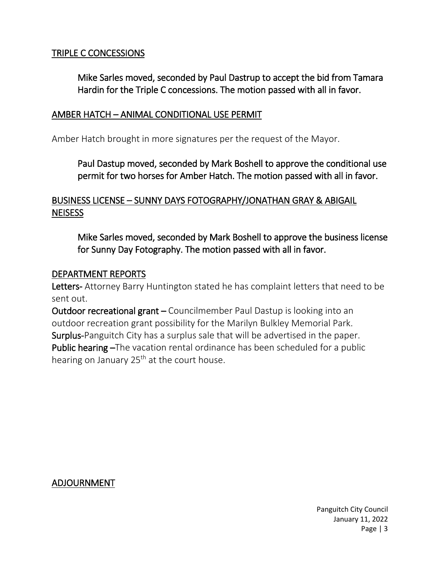# TRIPLE C CONCESSIONS

Mike Sarles moved, seconded by Paul Dastrup to accept the bid from Tamara Hardin for the Triple C concessions. The motion passed with all in favor.

### AMBER HATCH – ANIMAL CONDITIONAL USE PERMIT

Amber Hatch brought in more signatures per the request of the Mayor.

Paul Dastup moved, seconded by Mark Boshell to approve the conditional use permit for two horses for Amber Hatch. The motion passed with all in favor.

# BUSINESS LICENSE – SUNNY DAYS FOTOGRAPHY/JONATHAN GRAY & ABIGAIL **NEISESS**

Mike Sarles moved, seconded by Mark Boshell to approve the business license for Sunny Day Fotography. The motion passed with all in favor.

#### DEPARTMENT REPORTS

Letters- Attorney Barry Huntington stated he has complaint letters that need to be sent out.

Outdoor recreational grant – Councilmember Paul Dastup is looking into an outdoor recreation grant possibility for the Marilyn Bulkley Memorial Park. Surplus-Panguitch City has a surplus sale that will be advertised in the paper. Public hearing –The vacation rental ordinance has been scheduled for a public hearing on January  $25<sup>th</sup>$  at the court house.

# ADJOURNMENT